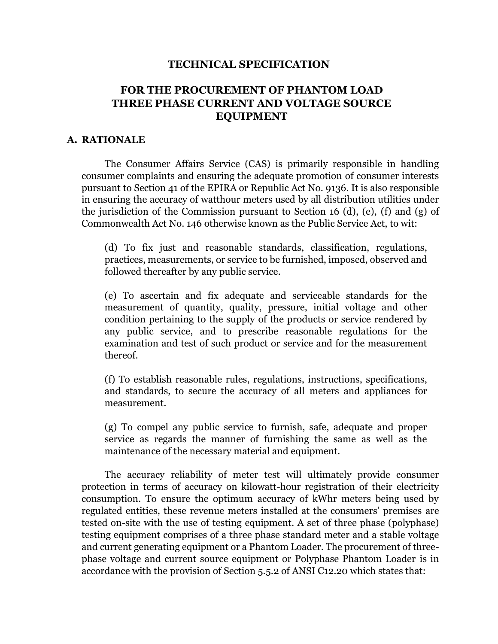#### **TECHNICAL SPECIFICATION**

# **FOR THE PROCUREMENT OF PHANTOM LOAD THREE PHASE CURRENT AND VOLTAGE SOURCE EQUIPMENT**

#### **A. RATIONALE**

The Consumer Affairs Service (CAS) is primarily responsible in handling consumer complaints and ensuring the adequate promotion of consumer interests pursuant to Section 41 of the EPIRA or Republic Act No. 9136. It is also responsible in ensuring the accuracy of watthour meters used by all distribution utilities under the jurisdiction of the Commission pursuant to Section 16 (d), (e), (f) and (g) of Commonwealth Act No. 146 otherwise known as the Public Service Act, to wit:

(d) To fix just and reasonable standards, classification, regulations, practices, measurements, or service to be furnished, imposed, observed and followed thereafter by any public service.

(e) To ascertain and fix adequate and serviceable standards for the measurement of quantity, quality, pressure, initial voltage and other condition pertaining to the supply of the products or service rendered by any public service, and to prescribe reasonable regulations for the examination and test of such product or service and for the measurement thereof.

(f) To establish reasonable rules, regulations, instructions, specifications, and standards, to secure the accuracy of all meters and appliances for measurement.

(g) To compel any public service to furnish, safe, adequate and proper service as regards the manner of furnishing the same as well as the maintenance of the necessary material and equipment.

The accuracy reliability of meter test will ultimately provide consumer protection in terms of accuracy on kilowatt-hour registration of their electricity consumption. To ensure the optimum accuracy of kWhr meters being used by regulated entities, these revenue meters installed at the consumers' premises are tested on-site with the use of testing equipment. A set of three phase (polyphase) testing equipment comprises of a three phase standard meter and a stable voltage and current generating equipment or a Phantom Loader. The procurement of threephase voltage and current source equipment or Polyphase Phantom Loader is in accordance with the provision of Section 5.5.2 of ANSI C12.20 which states that: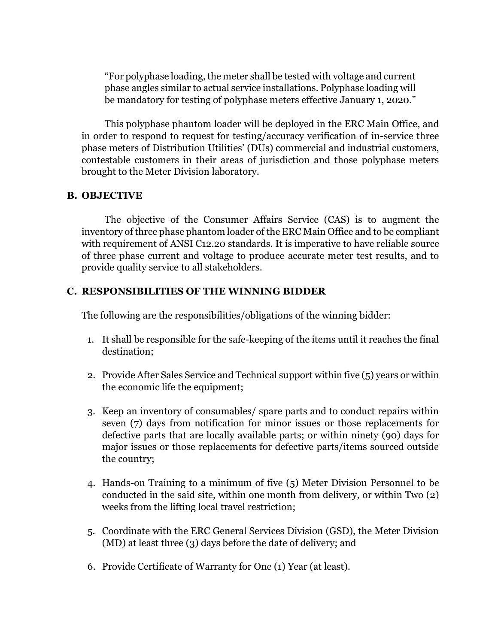"For polyphase loading, the meter shall be tested with voltage and current phase angles similar to actual service installations. Polyphase loading will be mandatory for testing of polyphase meters effective January 1, 2020."

This polyphase phantom loader will be deployed in the ERC Main Office, and in order to respond to request for testing/accuracy verification of in-service three phase meters of Distribution Utilities' (DUs) commercial and industrial customers, contestable customers in their areas of jurisdiction and those polyphase meters brought to the Meter Division laboratory.

#### **B. OBJECTIVE**

The objective of the Consumer Affairs Service (CAS) is to augment the inventory of three phase phantom loader of the ERC Main Office and to be compliant with requirement of ANSI C12.20 standards. It is imperative to have reliable source of three phase current and voltage to produce accurate meter test results, and to provide quality service to all stakeholders.

## **C. RESPONSIBILITIES OF THE WINNING BIDDER**

The following are the responsibilities/obligations of the winning bidder:

- 1. It shall be responsible for the safe-keeping of the items until it reaches the final destination;
- 2. Provide After Sales Service and Technical support within five (5) years or within the economic life the equipment;
- 3. Keep an inventory of consumables/ spare parts and to conduct repairs within seven (7) days from notification for minor issues or those replacements for defective parts that are locally available parts; or within ninety (90) days for major issues or those replacements for defective parts/items sourced outside the country;
- 4. Hands-on Training to a minimum of five (5) Meter Division Personnel to be conducted in the said site, within one month from delivery, or within Two (2) weeks from the lifting local travel restriction;
- 5. Coordinate with the ERC General Services Division (GSD), the Meter Division (MD) at least three (3) days before the date of delivery; and
- 6. Provide Certificate of Warranty for One (1) Year (at least).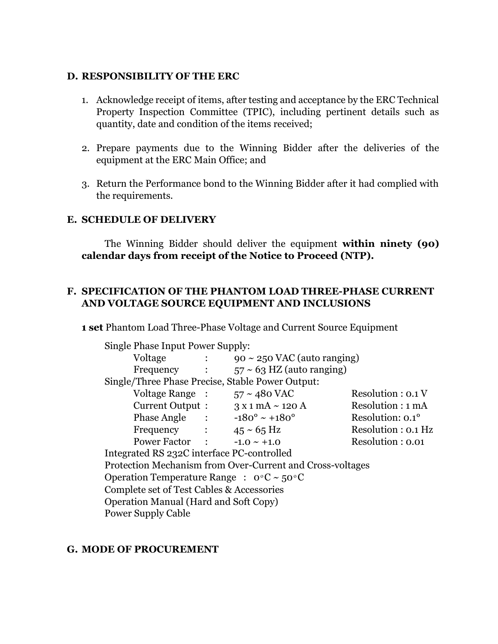#### **D. RESPONSIBILITY OF THE ERC**

- 1. Acknowledge receipt of items, after testing and acceptance by the ERC Technical Property Inspection Committee (TPIC), including pertinent details such as quantity, date and condition of the items received;
- 2. Prepare payments due to the Winning Bidder after the deliveries of the equipment at the ERC Main Office; and
- 3. Return the Performance bond to the Winning Bidder after it had complied with the requirements.

#### **E. SCHEDULE OF DELIVERY**

The Winning Bidder should deliver the equipment **within ninety (90) calendar days from receipt of the Notice to Proceed (NTP).**

## **F. SPECIFICATION OF THE PHANTOM LOAD THREE-PHASE CURRENT AND VOLTAGE SOURCE EQUIPMENT AND INCLUSIONS**

**1 set** Phantom Load Three-Phase Voltage and Current Source Equipment

| Single Phase Input Power Supply:                            |                             |                                  |                         |
|-------------------------------------------------------------|-----------------------------|----------------------------------|-------------------------|
| Voltage                                                     | $\mathcal{L} = \mathcal{L}$ | $90 \sim 250$ VAC (auto ranging) |                         |
| Frequency :                                                 |                             | $57 \sim 63$ HZ (auto ranging)   |                         |
| Single/Three Phase Precise, Stable Power Output:            |                             |                                  |                         |
| Voltage Range :                                             |                             | $57 \sim 480$ VAC                | Resolution : 0.1 V      |
| Current Output :                                            |                             | $3 \times 1$ mA $\sim$ 120 A     | Resolution : 1 mA       |
| Phase Angle :                                               |                             | $-180^{\circ} \sim +180^{\circ}$ | Resolution: $0.1^\circ$ |
| Frequency                                                   |                             | $45 \approx 65 \text{ Hz}$       | Resolution : 0.1 Hz     |
| Power Factor :                                              |                             | $-1.0 \sim +1.0$                 | Resolution: 0.01        |
| Integrated RS 232C interface PC-controlled                  |                             |                                  |                         |
| Protection Mechanism from Over-Current and Cross-voltages   |                             |                                  |                         |
| Operation Temperature Range : $0^{\circ}C \sim 50^{\circ}C$ |                             |                                  |                         |
| Complete set of Test Cables & Accessories                   |                             |                                  |                         |
| <b>Operation Manual (Hard and Soft Copy)</b>                |                             |                                  |                         |
| <b>Power Supply Cable</b>                                   |                             |                                  |                         |

#### **G. MODE OF PROCUREMENT**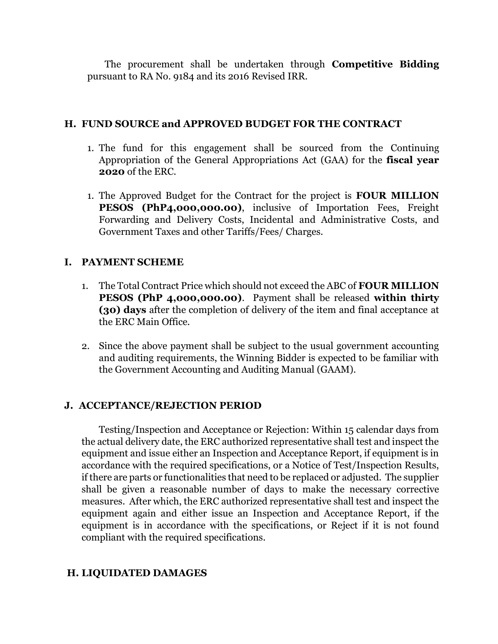The procurement shall be undertaken through **Competitive Bidding** pursuant to RA No. 9184 and its 2016 Revised IRR.

## **H. FUND SOURCE and APPROVED BUDGET FOR THE CONTRACT**

- 1. The fund for this engagement shall be sourced from the Continuing Appropriation of the General Appropriations Act (GAA) for the **fiscal year 2020** of the ERC.
- 1. The Approved Budget for the Contract for the project is **FOUR MILLION PESOS (PhP4,000,000.00)**, inclusive of Importation Fees, Freight Forwarding and Delivery Costs, Incidental and Administrative Costs, and Government Taxes and other Tariffs/Fees/ Charges.

# **I. PAYMENT SCHEME**

- 1. The Total Contract Price which should not exceed the ABC of **FOUR MILLION PESOS (PhP 4,000,000.00)**. Payment shall be released **within thirty (30) days** after the completion of delivery of the item and final acceptance at the ERC Main Office.
- 2. Since the above payment shall be subject to the usual government accounting and auditing requirements, the Winning Bidder is expected to be familiar with the Government Accounting and Auditing Manual (GAAM).

## **J. ACCEPTANCE/REJECTION PERIOD**

Testing/Inspection and Acceptance or Rejection: Within 15 calendar days from the actual delivery date, the ERC authorized representative shall test and inspect the equipment and issue either an Inspection and Acceptance Report, if equipment is in accordance with the required specifications, or a Notice of Test/Inspection Results, if there are parts or functionalities that need to be replaced or adjusted. The supplier shall be given a reasonable number of days to make the necessary corrective measures. After which, the ERC authorized representative shall test and inspect the equipment again and either issue an Inspection and Acceptance Report, if the equipment is in accordance with the specifications, or Reject if it is not found compliant with the required specifications.

## **H. LIQUIDATED DAMAGES**